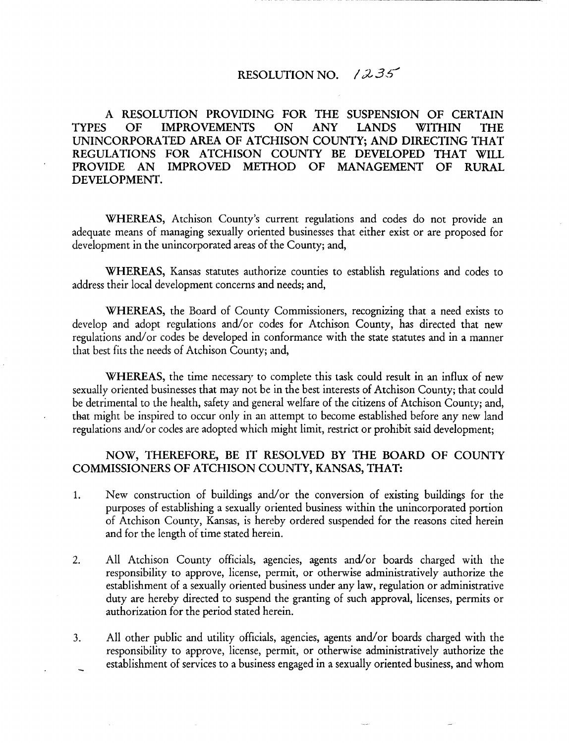## RESOLUTION NO. / 2 *36"*

A RESOLUTION PROVIDING FOR THE SUSPENSION OF CERTAIN TYPES OF IMPROVEMENTS ON ANY LANDS WITHIN THE UNINCORPORATED AREA OF ATCHISON COUNTY; AND DIRECTING THAT REGULATIONS FOR ATCHISON COUNTY BE DEVELOPED THAT WILL PROVIDE AN IMPROVED METHOD OF MANAGEMENT OF RURAL DEVELOPMENT.

WHEREAS, Atchison County's current regulations and codes do not provide an adequate means of managing sexually oriented businesses that either exist or are proposed for development in the unincorporated areas of the County; and,

WHEREAS, Kansas statutes authorize counties to establish regulations and codes to address their local development concerns and needs; and,

WHEREAS, the Board of County Commissioners, recognizing that a need exists to develop and adopt regulations and/or codes for Atchison County, has directed that new regulations and/or codes be developed in conformance with the state statutes and in a manner that best fits the needs of Atchison County; and,

WHEREAS, the time necessary to complete this task could result in an influx of new sexually oriented businesses that may not be in the best interests of Atchison County; that could be detrimental to the health, safety and general welfare of the citizens of Atchison County; and, that might be inspired to occur only in an attempt to become established before any new land regulations and/or codes are adopted which might limit, restrict or prohibit said development;

## NOW, THEREFORE, BE IT RESOLVED BY THE BOARD OF COUNTY COMMISSIONERS OF ATCHISON COUNTY, KANSAS, THAT:

- 1. New construction of buildings and/or the conversion of existing buildings for the purposes of establishing a sexually oriented business within the unincorporated portion of Atchison County, Kansas, is hereby ordered suspended for the reasons cited herein and for the length of time stated herein.
- 2. All Atchison County officials, agencies, agents and/or boards charged with the responsibility to approve, license, permit, or otherwise administratively authorize the establishment of a sexually oriented business under any law, regulation or administrative duty are hereby directed to suspend the granting of such approval, licenses, permits or authorization for the period stated herein.
- 3. All other public and utility officials, agencies, agents and/or boards charged with the responsibility to approve, license, permit, or otherwise administratively authorize the establishment of services to a business engaged in a sexually oriented business, and whom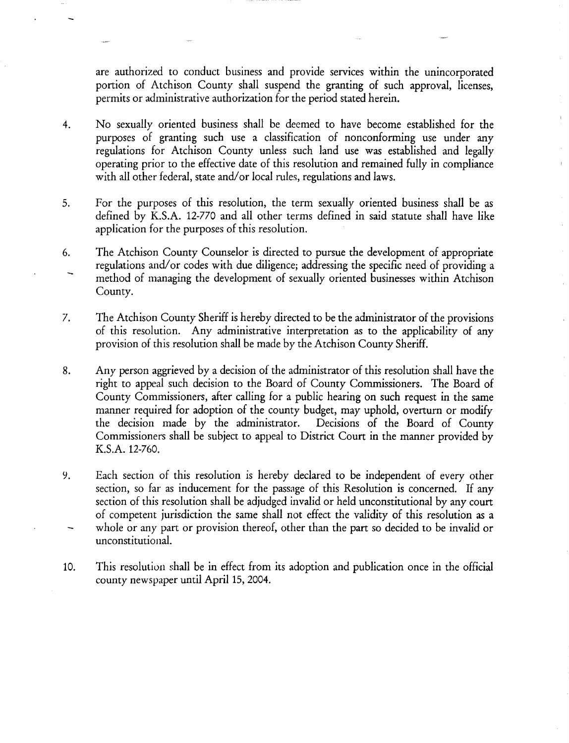are authorized to conduct business and provide services within the unincorporated portion of Atchison County shall suspend the granting of such approval, licenses, permits or administrative authorization for the period stated herein.

- 4. No sexually oriented business shall be deemed to have become established for the purposes of granting such use a classification of nonconforming use under any regulations for Atchison County unless such land use was established and legally operating prior to the effective date of this resolution and remained fully in compliance with all other federal, state and/or local rules, regulations and laws.
- 5. For the purposes of this resolution, the term sexually oriented business shall be as defined by K.S.A. 12-770 and all other terms defined in said statute shall have like application for the purposes of this resolution.
- 6. The Atchison County Counselor is directed to pursue the development of appropriate regulations and/or codes with due diligence; addressing the specific need of providing a method of managing the development of sexually oriented businesses within Atchison County.
- 7. The Atchison County Sheriff is hereby directed to be the administrator of the provisions of this resolution. Any administrative interpretation as to the applicability of any provision of this resolution shall be made by the Atchison County Sheriff.
- 8. Any person aggrieved by a decision of the administrator of this resolution shall have the right to appeal such decision to the Board of County Commissioners. The Board of County Commissioners, after calling for a public hearing on such request in the same manner required for adoption of the county budget, may uphold, overturn or modify the decision made by the administrator. Decisions of the Board of County Commissioners shall be subject to appeal to District Court in the manner provided by K.S.A. 12-760.
- 9. Each section of this resolution is hereby declared to be independent of every other section, so far as inducement for the passage of this Resolution is concerned. If any section of this resolution shall be adjudged invalid or held unconstitutional by any court of competent jurisdiction the same shall not effect the validity of this resolution as a whole or any part or provision thereof, other than the part so decided to be invalid or unconstitutional.
- 10. This resolution shall be in effect from its adoption and publication once in the official county newspaper until April 15, 2004.